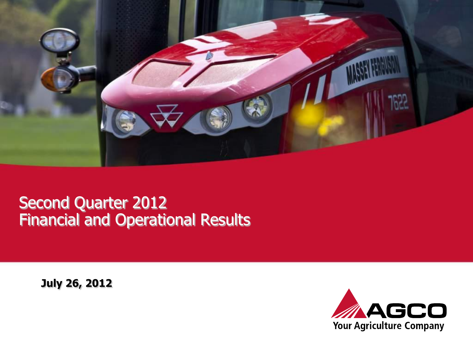

#### Second Quarter 2012 Financial and Operational Results

**July 26, 2012**

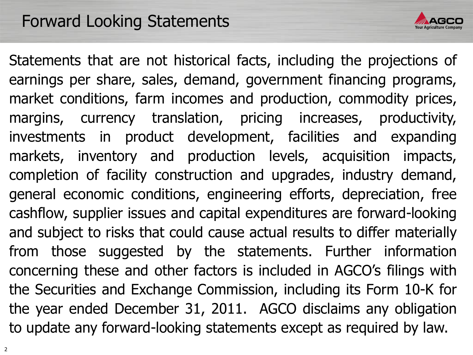

Statements that are not historical facts, including the projections of earnings per share, sales, demand, government financing programs, market conditions, farm incomes and production, commodity prices, margins, currency translation, pricing increases, productivity, investments in product development, facilities and expanding markets, inventory and production levels, acquisition impacts, completion of facility construction and upgrades, industry demand, general economic conditions, engineering efforts, depreciation, free cashflow, supplier issues and capital expenditures are forward-looking and subject to risks that could cause actual results to differ materially from those suggested by the statements. Further information concerning these and other factors is included in AGCO's filings with the Securities and Exchange Commission, including its Form 10-K for the year ended December 31, 2011. AGCO disclaims any obligation to update any forward-looking statements except as required by law.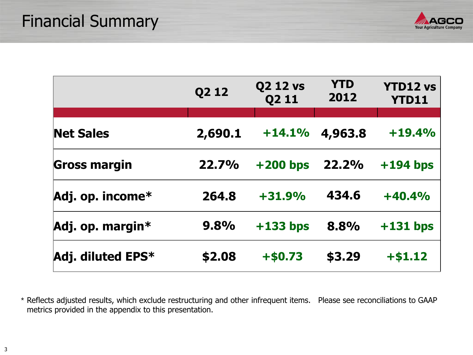

|                     | Q2 12   | <b>Q2 12 vs</b><br>Q2 11 | <b>YTD</b><br>2012 | <b>YTD12 vs</b><br><b>YTD11</b> |
|---------------------|---------|--------------------------|--------------------|---------------------------------|
|                     |         |                          |                    |                                 |
| <b>Net Sales</b>    | 2,690.1 | $+14.1%$                 | 4,963.8            | $+19.4%$                        |
| <b>Gross margin</b> | 22.7%   | $+200$ bps               | 22.2%              | $+194$ bps                      |
| Adj. op. income*    | 264.8   | $+31.9%$                 | 434.6              | $+40.4%$                        |
| Adj. op. margin*    | 9.8%    | $+133$ bps               | 8.8%               | $+131$ bps                      |
| Adj. diluted EPS*   | \$2.08  | $+ $0.73$                | \$3.29             | $+ $1.12$                       |

\* Reflects adjusted results, which exclude restructuring and other infrequent items. Please see reconciliations to GAAP metrics provided in the appendix to this presentation.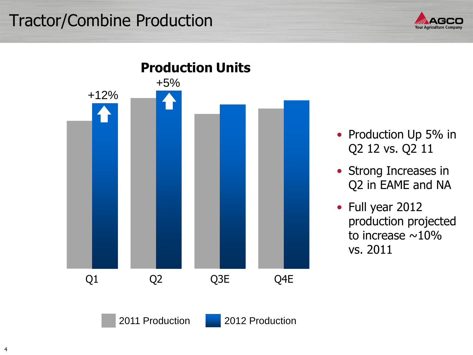## Tractor/Combine Production





- Production Up 5% in Q2 12 vs. Q2 11
- Strong Increases in Q2 in EAME and NA
- Full year 2012 production projected to increase  $\sim$ 10% vs. 2011

2011 Production 2012 Production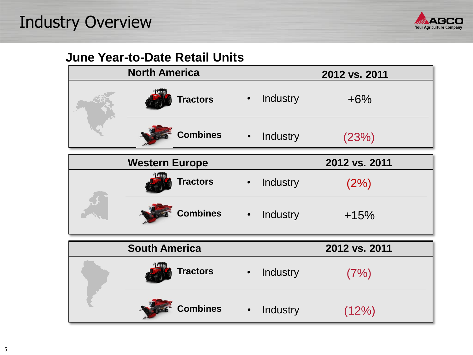

#### **June Year-to-Date Retail Units**

| <b>North America</b>  |           |          | 2012 vs. 2011 |
|-----------------------|-----------|----------|---------------|
| <b>Tractors</b>       | $\bullet$ | Industry | $+6%$         |
| <b>Combines</b>       | $\bullet$ | Industry | (23%)         |
| <b>Western Europe</b> |           |          | 2012 vs. 2011 |
| <b>Tractors</b>       | $\bullet$ | Industry | (2%)          |
| <b>Combines</b>       | $\bullet$ | Industry | $+15%$        |
| <b>South America</b>  |           |          | 2012 vs. 2011 |
| <b>Tractors</b>       | $\bullet$ | Industry | (7%)          |
| <b>Combines</b>       | $\bullet$ | Industry | (12%)         |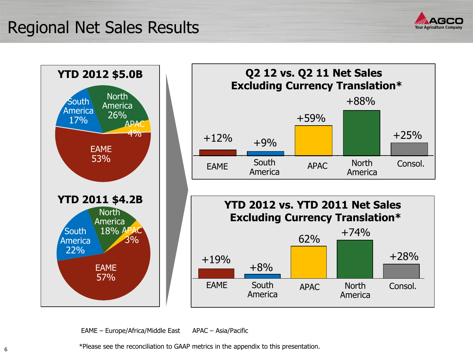#### Regional Net Sales Results





EAME – Europe/Africa/Middle East APAC – Asia/Pacific

\*Please see the reconciliation to GAAP metrics in the appendix to this presentation.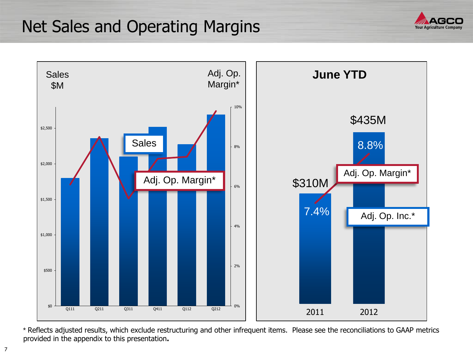#### Net Sales and Operating Margins





 \* Reflects adjusted results, which exclude restructuring and other infrequent items. Please see the reconciliations to GAAP metrics provided in the appendix to this presentation**.**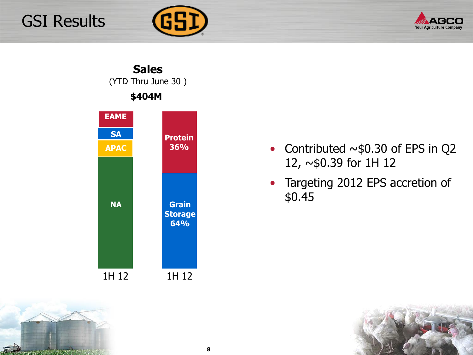## GSI Results







- Contributed  $\sim$ \$0.30 of EPS in Q2 12, ~\$0.39 for 1H 12
- Targeting 2012 EPS accretion of \$0.45



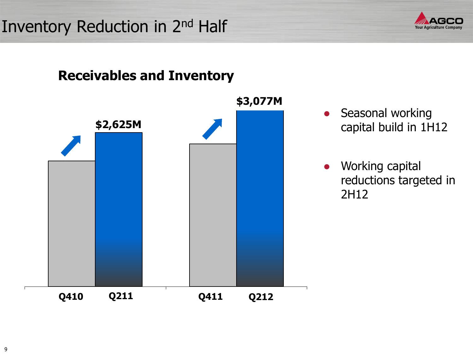# Inventory Reduction in 2<sup>nd</sup> Half



#### **Receivables and Inventory**



• Seasonal working capital build in 1H12

● Working capital reductions targeted in 2H12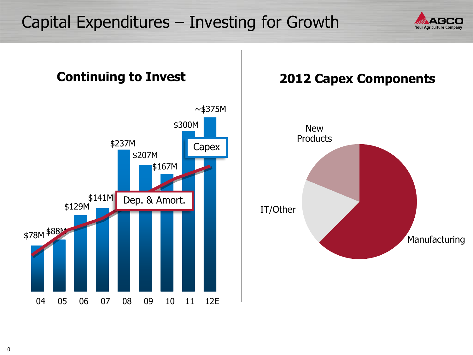#### Capital Expenditures – Investing for Growth



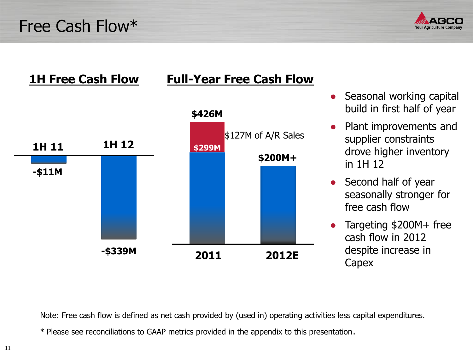Free Cash Flow\*





- Seasonal working capital build in first half of year
- Plant improvements and supplier constraints drove higher inventory in 1H 12
- Second half of year seasonally stronger for free cash flow
- Targeting \$200M+ free cash flow in 2012 despite increase in **Capex**

Note: Free cash flow is defined as net cash provided by (used in) operating activities less capital expenditures.

\* Please see reconciliations to GAAP metrics provided in the appendix to this presentation.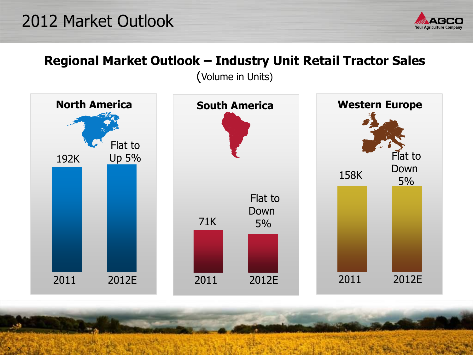## 2012 Market Outlook

12



#### **Regional Market Outlook – Industry Unit Retail Tractor Sales**

(Volume in Units)

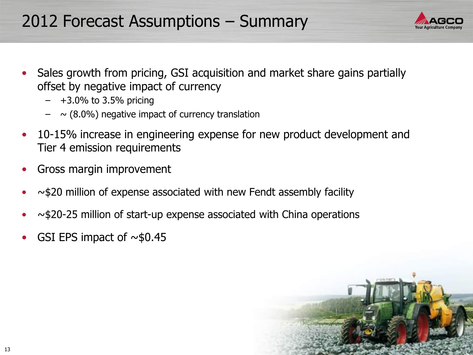## 2012 Forecast Assumptions – Summary

- Sales growth from pricing, GSI acquisition and market share gains partially offset by negative impact of currency
	- $-$  +3.0% to 3.5% pricing
	- $-$  ~ (8.0%) negative impact of currency translation
- 10-15% increase in engineering expense for new product development and Tier 4 emission requirements
- Gross margin improvement
- $\sim$ \$20 million of expense associated with new Fendt assembly facility
- $\sim$ \$20-25 million of start-up expense associated with China operations
- GSI EPS impact of  $\sim$ \$0.45

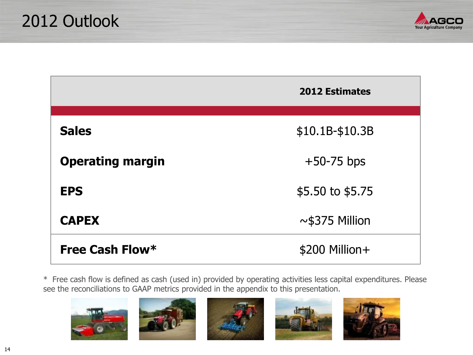

|                         | <b>2012 Estimates</b>     |
|-------------------------|---------------------------|
| <b>Sales</b>            | $$10.1B-$10.3B$           |
| <b>Operating margin</b> | $+50-75$ bps              |
| <b>EPS</b>              | $$5.50 \text{ to } $5.75$ |
| <b>CAPEX</b>            | $\sim$ \$375 Million      |
| Free Cash Flow*         | $$200$ Million +          |

\* Free cash flow is defined as cash (used in) provided by operating activities less capital expenditures. Please see the reconciliations to GAAP metrics provided in the appendix to this presentation.

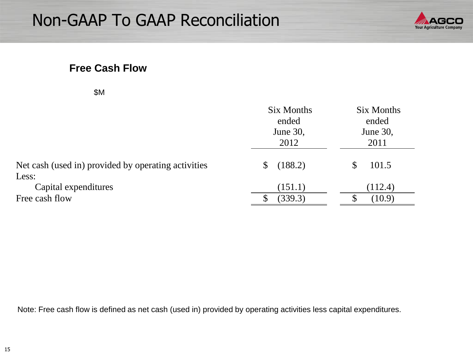

#### **Free Cash Flow**

|                                                              | Six Months<br>ended<br>June 30,<br>2012 | Six Months<br>ended<br>June 30,<br>2011 |
|--------------------------------------------------------------|-----------------------------------------|-----------------------------------------|
| Net cash (used in) provided by operating activities<br>Less: | (188.2)<br>\$                           | 101.5                                   |
| Capital expenditures<br>Free cash flow                       | (151.1)<br>(339.3)                      | (112.4)<br>(10.9)                       |

Note: Free cash flow is defined as net cash (used in) provided by operating activities less capital expenditures.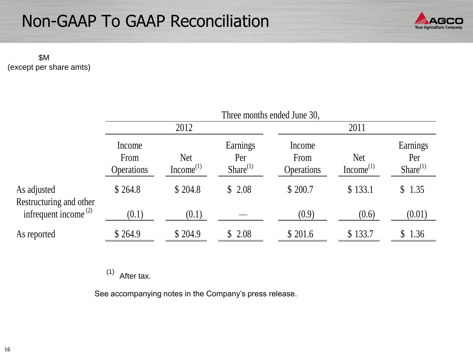

 \$M (except per share amts)

|                                               | Three months ended June 30,         |                                     |                                   |                                     |                                     |                                   |  |
|-----------------------------------------------|-------------------------------------|-------------------------------------|-----------------------------------|-------------------------------------|-------------------------------------|-----------------------------------|--|
|                                               | 2012                                |                                     |                                   | 2011                                |                                     |                                   |  |
|                                               | Income<br>From<br><b>Operations</b> | <b>Net</b><br>Income <sup>(1)</sup> | Earnings<br>Per<br>Share $^{(1)}$ | Income<br>From<br><b>Operations</b> | <b>Net</b><br>Income <sup>(1)</sup> | Earnings<br>Per<br>Share $^{(1)}$ |  |
| As adjusted<br>Restructuring and other        | \$264.8                             | \$204.8                             | \$2.08                            | \$ 200.7                            | \$133.1                             | \$1.35                            |  |
| infrequent income <sup><math>(2)</math></sup> | (0.1)                               | (0.1)                               |                                   | (0.9)                               | (0.6)                               | (0.01)                            |  |
| As reported                                   | \$264.9                             | \$204.9                             | \$2.08                            | \$201.6                             | \$133.7                             | \$1.36                            |  |

 $(1)$  After tax.

See accompanying notes in the Company's press release.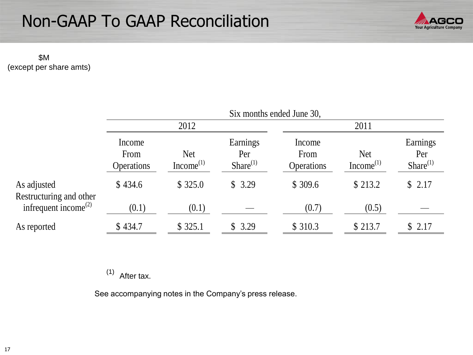

 \$M (except per share amts)

|                                               | Six months ended June 30,           |                                     |                                   |                                     |                                     |                                  |  |
|-----------------------------------------------|-------------------------------------|-------------------------------------|-----------------------------------|-------------------------------------|-------------------------------------|----------------------------------|--|
|                                               | 2012                                |                                     |                                   |                                     | 2011                                |                                  |  |
|                                               | Income<br>From<br><b>Operations</b> | <b>Net</b><br>Income <sup>(1)</sup> | Earnings<br>Per<br>Share $^{(1)}$ | Income<br>From<br><b>Operations</b> | <b>Net</b><br>Income <sup>(1)</sup> | Earnings<br>Per<br>$Share^{(1)}$ |  |
| As adjusted<br>Restructuring and other        | \$434.6                             | \$325.0                             | \$3.29                            | \$309.6                             | \$213.2                             | \$2.17                           |  |
| infrequent income <sup><math>(2)</math></sup> | (0.1)                               | (0.1)                               |                                   | (0.7)                               | (0.5)                               |                                  |  |
| As reported                                   | \$434.7                             | \$325.1                             | \$3.29                            | \$310.3                             | \$213.7                             | \$2.17                           |  |

 $(1)$  After tax.

See accompanying notes in the Company's press release.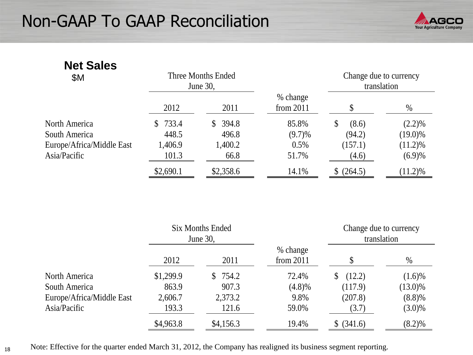

| <b>Net Sales</b><br><b>\$M</b> |                       | Three Months Ended<br>June 30, |                         |             | Change due to currency<br>translation |  |
|--------------------------------|-----------------------|--------------------------------|-------------------------|-------------|---------------------------------------|--|
|                                | 2012                  | 2011                           | % change<br>from $2011$ |             | $\%$                                  |  |
| North America                  | 733.4<br><sup>S</sup> | 394.8<br>S.                    | 85.8%                   | \$<br>(8.6) | $(2.2)\%$                             |  |
| South America                  | 448.5                 | 496.8                          | $(9.7)\%$               | (94.2)      | $(19.0)\%$                            |  |
| Europe/Africa/Middle East      | 1,406.9               | 1,400.2                        | 0.5%                    | (157.1)     | $(11.2)\%$                            |  |
| Asia/Pacific                   | 101.3                 | 66.8                           | 51.7%                   | (4.6)       | (6.9)%                                |  |
|                                | \$2,690.1             | \$2,358.6                      | 14.1%                   | \$ (264.5)  | $(11.2)\%$                            |  |

|                           |           | <b>Six Months Ended</b><br>June 30, |                         | Change due to currency<br>translation |            |
|---------------------------|-----------|-------------------------------------|-------------------------|---------------------------------------|------------|
|                           | 2012      | 2011                                | % change<br>from $2011$ |                                       | $\%$       |
| North America             | \$1,299.9 | 754.2<br>$\mathbb{S}^-$             | 72.4%                   | (12.2)<br>S.                          | $(1.6)\%$  |
| South America             | 863.9     | 907.3                               | $(4.8)\%$               | (117.9)                               | $(13.0)\%$ |
| Europe/Africa/Middle East | 2,606.7   | 2,373.2                             | 9.8%                    | (207.8)                               | $(8.8)\%$  |
| Asia/Pacific              | 193.3     | 121.6                               | 59.0%                   | (3.7)                                 | $(3.0)\%$  |
|                           | \$4,963.8 | \$4,156.3                           | 19.4%                   | \$ (341.6)                            | $(8.2)\%$  |

Note: Effective for the quarter ended March 31, 2012, the Company has realigned its business segment reporting.